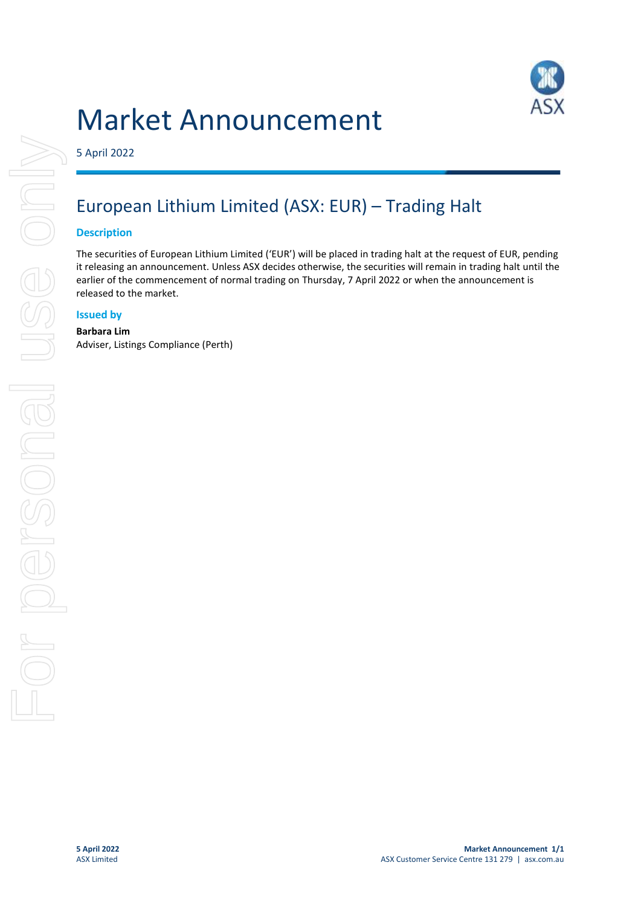# Market Announcement



5 April 2022

## European Lithium Limited (ASX: EUR) – Trading Halt

#### **Description**

The securities of European Lithium Limited ('EUR') will be placed in trading halt at the request of EUR, pending it releasing an announcement. Unless ASX decides otherwise, the securities will remain in trading halt until the earlier of the commencement of normal trading on Thursday, 7 April 2022 or when the announcement is released to the market.

#### **Issued by**

#### **Barbara Lim** Adviser, Listings Compliance (Perth)